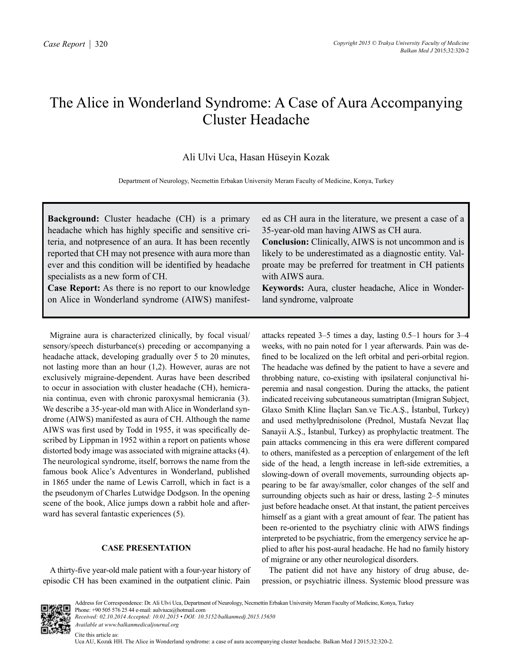# The Alice in Wonderland Syndrome: A Case of Aura Accompanying Cluster Headache

## Ali Ulvi Uca, Hasan Hüseyin Kozak

Department of Neurology, Necmettin Erbakan University Meram Faculty of Medicine, Konya, Turkey

**Background:** Cluster headache (CH) is a primary headache which has highly specific and sensitive criteria, and notpresence of an aura. It has been recently reported that CH may not presence with aura more than ever and this condition will be identified by headache specialists as a new form of CH.

**Case Report:** As there is no report to our knowledge on Alice in Wonderland syndrome (AIWS) manifest-

Migraine aura is characterized clinically, by focal visual/ sensory/speech disturbance(s) preceding or accompanying a headache attack, developing gradually over 5 to 20 minutes, not lasting more than an hour (1,2). However, auras are not exclusively migraine-dependent. Auras have been described to occur in association with cluster headache (CH), hemicrania continua, even with chronic paroxysmal hemicrania (3). We describe a 35-year-old man with Alice in Wonderland syndrome (AIWS) manifested as aura of CH. Although the name AIWS was first used by Todd in 1955, it was specifically described by Lippman in 1952 within a report on patients whose distorted body image was associated with migraine attacks (4). The neurological syndrome, itself, borrows the name from the famous book Alice's Adventures in Wonderland, published in 1865 under the name of Lewis Carroll, which in fact is a the pseudonym of Charles Lutwidge Dodgson. In the opening scene of the book, Alice jumps down a rabbit hole and afterward has several fantastic experiences (5).

#### **CASE PRESENTATION**

A thirty-five year-old male patient with a four-year history of episodic CH has been examined in the outpatient clinic. Pain ed as CH aura in the literature, we present a case of a 35-year-old man having AIWS as CH aura.

**Conclusion:** Clinically, AIWS is not uncommon and is likely to be underestimated as a diagnostic entity. Valproate may be preferred for treatment in CH patients with AIWS aura.

**Keywords:** Aura, cluster headache, Alice in Wonderland syndrome, valproate

attacks repeated 3–5 times a day, lasting 0.5–1 hours for 3–4 weeks, with no pain noted for 1 year afterwards. Pain was defined to be localized on the left orbital and peri-orbital region. The headache was defined by the patient to have a severe and throbbing nature, co-existing with ipsilateral conjunctival hiperemia and nasal congestion. During the attacks, the patient indicated receiving subcutaneous sumatriptan (Imigran Subject, Glaxo Smith Kline İlaçları San.ve Tic.A.Ş., İstanbul, Turkey) and used methylprednisolone (Prednol, Mustafa Nevzat İlaç Sanayii A.Ş., İstanbul, Turkey) as prophylactic treatment. The pain attacks commencing in this era were different compared to others, manifested as a perception of enlargement of the left side of the head, a length increase in left-side extremities, a slowing-down of overall movements, surrounding objects appearing to be far away/smaller, color changes of the self and surrounding objects such as hair or dress, lasting 2–5 minutes just before headache onset. At that instant, the patient perceives himself as a giant with a great amount of fear. The patient has been re-oriented to the psychiatry clinic with AIWS findings interpreted to be psychiatric, from the emergency service he applied to after his post-aural headache. He had no family history of migraine or any other neurological disorders.

The patient did not have any history of drug abuse, depression, or psychiatric illness. Systemic blood pressure was



Uca AU, Kozak HH. The Alice in Wonderland syndrome: a case of aura accompanying cluster headache. Balkan Med J 2015;32:320-2.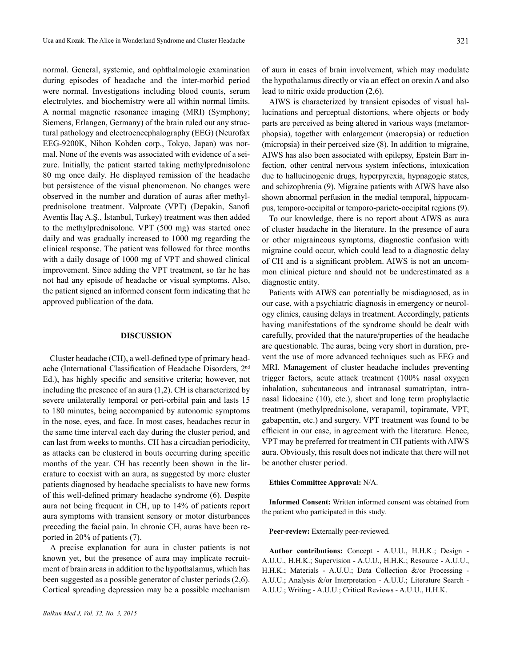normal. General, systemic, and ophthalmologic examination during episodes of headache and the inter-morbid period were normal. Investigations including blood counts, serum electrolytes, and biochemistry were all within normal limits. A normal magnetic resonance imaging (MRI) (Symphony; Siemens, Erlangen, Germany) of the brain ruled out any structural pathology and electroencephalography (EEG) (Neurofax EEG-9200K, Nihon Kohden corp., Tokyo, Japan) was normal. None of the events was associated with evidence of a seizure. Initially, the patient started taking methylprednisolone 80 mg once daily. He displayed remission of the headache but persistence of the visual phenomenon. No changes were observed in the number and duration of auras after methylprednisolone treatment. Valproate (VPT) (Depakin, Sanofi Aventis İlaç A.Ş., İstanbul, Turkey) treatment was then added to the methylprednisolone. VPT (500 mg) was started once daily and was gradually increased to 1000 mg regarding the clinical response. The patient was followed for three months with a daily dosage of 1000 mg of VPT and showed clinical improvement. Since adding the VPT treatment, so far he has not had any episode of headache or visual symptoms. Also, the patient signed an informed consent form indicating that he approved publication of the data.

### **DISCUSSION**

Cluster headache (CH), a well-defined type of primary headache (International Classification of Headache Disorders, 2nd Ed.), has highly specific and sensitive criteria; however, not including the presence of an aura (1,2). CH is characterized by severe unilaterally temporal or peri-orbital pain and lasts 15 to 180 minutes, being accompanied by autonomic symptoms in the nose, eyes, and face. In most cases, headaches recur in the same time interval each day during the cluster period, and can last from weeks to months. CH has a circadian periodicity, as attacks can be clustered in bouts occurring during specific months of the year. CH has recently been shown in the literature to coexist with an aura, as suggested by more cluster patients diagnosed by headache specialists to have new forms of this well-defined primary headache syndrome (6). Despite aura not being frequent in CH, up to 14% of patients report aura symptoms with transient sensory or motor disturbances preceding the facial pain. In chronic CH, auras have been reported in 20% of patients (7).

A precise explanation for aura in cluster patients is not known yet, but the presence of aura may implicate recruitment of brain areas in addition to the hypothalamus, which has been suggested as a possible generator of cluster periods (2,6). Cortical spreading depression may be a possible mechanism of aura in cases of brain involvement, which may modulate the hypothalamus directly or via an effect on orexin A and also lead to nitric oxide production (2,6).

AIWS is characterized by transient episodes of visual hallucinations and perceptual distortions, where objects or body parts are perceived as being altered in various ways (metamorphopsia), together with enlargement (macropsia) or reduction (micropsia) in their perceived size (8). In addition to migraine, AIWS has also been associated with epilepsy, Epstein Barr infection, other central nervous system infections, intoxication due to hallucinogenic drugs, hyperpyrexia, hypnagogic states, and schizophrenia (9). Migraine patients with AIWS have also shown abnormal perfusion in the medial temporal, hippocampus, temporo-occipital or temporo-parieto-occipital regions (9).

To our knowledge, there is no report about AIWS as aura of cluster headache in the literature. In the presence of aura or other migraineous symptoms, diagnostic confusion with migraine could occur, which could lead to a diagnostic delay of CH and is a significant problem. AIWS is not an uncommon clinical picture and should not be underestimated as a diagnostic entity.

Patients with AIWS can potentially be misdiagnosed, as in our case, with a psychiatric diagnosis in emergency or neurology clinics, causing delays in treatment. Accordingly, patients having manifestations of the syndrome should be dealt with carefully, provided that the nature/properties of the headache are questionable. The auras, being very short in duration, prevent the use of more advanced techniques such as EEG and MRI. Management of cluster headache includes preventing trigger factors, acute attack treatment (100% nasal oxygen inhalation, subcutaneous and intranasal sumatriptan, intranasal lidocaine (10), etc.), short and long term prophylactic treatment (methylprednisolone, verapamil, topiramate, VPT, gabapentin, etc.) and surgery. VPT treatment was found to be efficient in our case, in agreement with the literature. Hence, VPT may be preferred for treatment in CH patients with AIWS aura. Obviously, this result does not indicate that there will not be another cluster period.

#### **Ethics Committee Approval:** N/A.

**Informed Consent:** Written informed consent was obtained from the patient who participated in this study.

Peer-review: Externally peer-reviewed.

**Author contributions:** Concept - A.U.U., H.H.K.; Design - A.U.U., H.H.K.; Supervision - A.U.U., H.H.K.; Resource - A.U.U., H.H.K.; Materials - A.U.U.; Data Collection &/or Processing - A.U.U.; Analysis &/or Interpretation - A.U.U.; Literature Search - A.U.U.; Writing - A.U.U.; Critical Reviews - A.U.U., H.H.K.